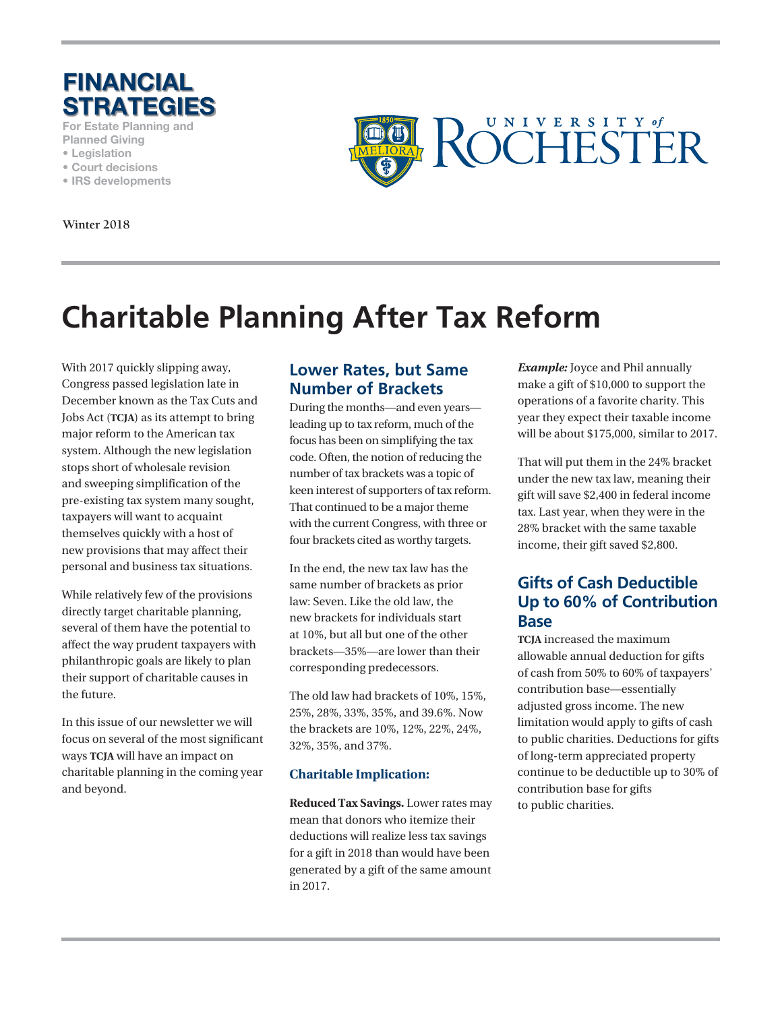

**For Estate Planning and**

- **Planned Giving • Legislation**
- **Court decisions**
- **IRS developments**

**Winter 2018**



# **Charitable Planning After Tax Reform**

With 2017 quickly slipping away, Congress passed legislation late in December known as the Tax Cuts and Jobs Act (**TCJA**) as its attempt to bring major reform to the American tax system. Although the new legislation stops short of wholesale revision and sweeping simplification of the pre-existing tax system many sought, taxpayers will want to acquaint themselves quickly with a host of new provisions that may affect their personal and business tax situations.

While relatively few of the provisions directly target charitable planning, several of them have the potential to affect the way prudent taxpayers with philanthropic goals are likely to plan their support of charitable causes in the future.

In this issue of our newsletter we will focus on several of the most significant ways **TCJA** will have an impact on charitable planning in the coming year and beyond.

## **Lower Rates, but Same Number of Brackets**

During the months—and even years leading up to tax reform, much of the focus has been on simplifying the tax code. Often, the notion of reducing the number of tax brackets was a topic of keen interest of supporters of tax reform. That continued to be a major theme with the current Congress, with three or four brackets cited as worthy targets.

In the end, the new tax law has the same number of brackets as prior law: Seven. Like the old law, the new brackets for individuals start at 10%, but all but one of the other brackets—35%—are lower than their corresponding predecessors.

The old law had brackets of 10%, 15%, 25%, 28%, 33%, 35%, and 39.6%. Now the brackets are 10%, 12%, 22%, 24%, 32%, 35%, and 37%.

#### **Charitable Implication:**

**Reduced Tax Savings.** Lower rates may mean that donors who itemize their deductions will realize less tax savings for a gift in 2018 than would have been generated by a gift of the same amount in 2017.

*Example:* Joyce and Phil annually make a gift of \$10,000 to support the operations of a favorite charity. This year they expect their taxable income will be about \$175,000, similar to 2017.

That will put them in the 24% bracket under the new tax law, meaning their gift will save \$2,400 in federal income tax. Last year, when they were in the 28% bracket with the same taxable income, their gift saved \$2,800.

# **Gifts of Cash Deductible Up to 60% of Contribution Base**

**TCJA** increased the maximum allowable annual deduction for gifts of cash from 50% to 60% of taxpayers' contribution base—essentially adjusted gross income. The new limitation would apply to gifts of cash to public charities. Deductions for gifts of long-term appreciated property continue to be deductible up to 30% of contribution base for gifts to public charities.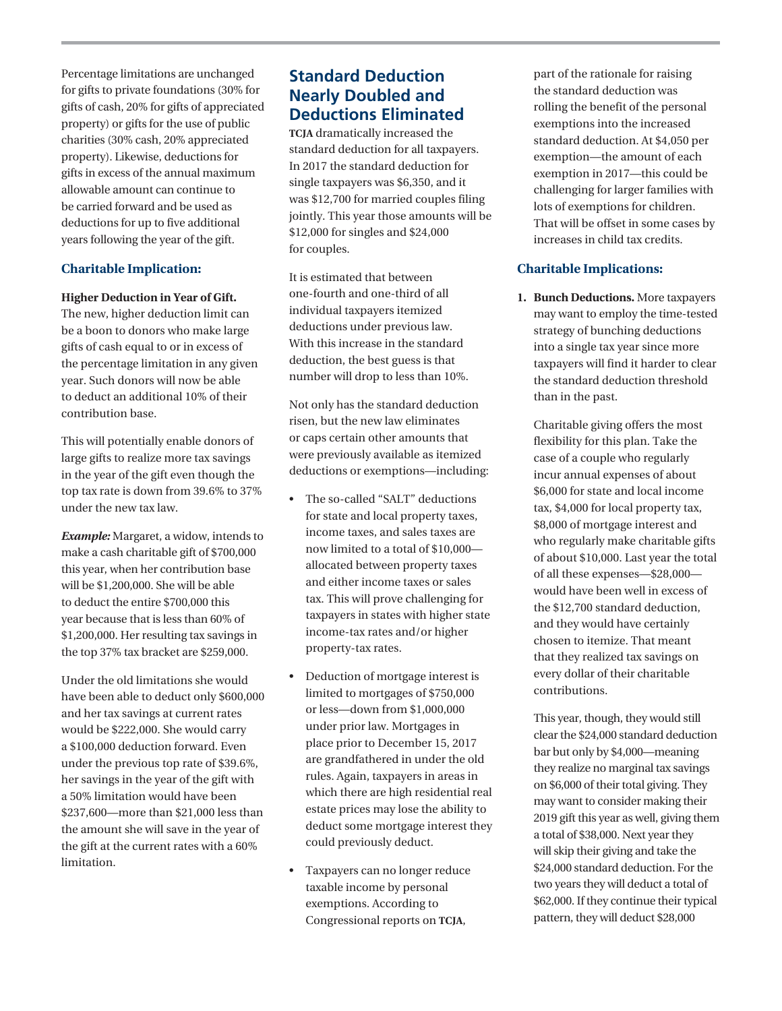Percentage limitations are unchanged for gifts to private foundations (30% for gifts of cash, 20% for gifts of appreciated property) or gifts for the use of public charities (30% cash, 20% appreciated property). Likewise, deductions for gifts in excess of the annual maximum allowable amount can continue to be carried forward and be used as deductions for up to five additional years following the year of the gift.

#### **Charitable Implication:**

#### **Higher Deduction in Year of Gift.**

The new, higher deduction limit can be a boon to donors who make large gifts of cash equal to or in excess of the percentage limitation in any given year. Such donors will now be able to deduct an additional 10% of their contribution base.

This will potentially enable donors of large gifts to realize more tax savings in the year of the gift even though the top tax rate is down from 39.6% to 37% under the new tax law.

*Example:* Margaret, a widow, intends to make a cash charitable gift of \$700,000 this year, when her contribution base will be \$1,200,000. She will be able to deduct the entire \$700,000 this year because that is less than 60% of \$1,200,000. Her resulting tax savings in the top 37% tax bracket are \$259,000.

Under the old limitations she would have been able to deduct only \$600,000 and her tax savings at current rates would be \$222,000. She would carry a \$100,000 deduction forward. Even under the previous top rate of \$39.6%, her savings in the year of the gift with a 50% limitation would have been \$237,600—more than \$21,000 less than the amount she will save in the year of the gift at the current rates with a 60% limitation.

## **Standard Deduction Nearly Doubled and Deductions Eliminated**

**TCJA** dramatically increased the standard deduction for all taxpayers. In 2017 the standard deduction for single taxpayers was \$6,350, and it was \$12,700 for married couples filing jointly. This year those amounts will be \$12,000 for singles and \$24,000 for couples.

It is estimated that between one-fourth and one-third of all individual taxpayers itemized deductions under previous law. With this increase in the standard deduction, the best guess is that number will drop to less than 10%.

Not only has the standard deduction risen, but the new law eliminates or caps certain other amounts that were previously available as itemized deductions or exemptions—including:

- The so-called "SALT" deductions for state and local property taxes, income taxes, and sales taxes are now limited to a total of \$10,000 allocated between property taxes and either income taxes or sales tax. This will prove challenging for taxpayers in states with higher state income-tax rates and/or higher property-tax rates.
- Deduction of mortgage interest is limited to mortgages of \$750,000 or less—down from \$1,000,000 under prior law. Mortgages in place prior to December 15, 2017 are grandfathered in under the old rules. Again, taxpayers in areas in which there are high residential real estate prices may lose the ability to deduct some mortgage interest they could previously deduct.
- Taxpayers can no longer reduce taxable income by personal exemptions. According to Congressional reports on **TCJA**,

part of the rationale for raising the standard deduction was rolling the benefit of the personal exemptions into the increased standard deduction. At \$4,050 per exemption—the amount of each exemption in 2017—this could be challenging for larger families with lots of exemptions for children. That will be offset in some cases by increases in child tax credits.

#### **Charitable Implications:**

**1. Bunch Deductions.** More taxpayers may want to employ the time-tested strategy of bunching deductions into a single tax year since more taxpayers will find it harder to clear the standard deduction threshold than in the past.

 Charitable giving offers the most flexibility for this plan. Take the case of a couple who regularly incur annual expenses of about \$6,000 for state and local income tax, \$4,000 for local property tax, \$8,000 of mortgage interest and who regularly make charitable gifts of about \$10,000. Last year the total of all these expenses—\$28,000 would have been well in excess of the \$12,700 standard deduction, and they would have certainly chosen to itemize. That meant that they realized tax savings on every dollar of their charitable contributions.

 This year, though, they would still clear the \$24,000 standard deduction bar but only by \$4,000—meaning they realize no marginal tax savings on \$6,000 of their total giving. They may want to consider making their 2019 gift this year as well, giving them a total of \$38,000. Next year they will skip their giving and take the \$24,000 standard deduction. For the two years they will deduct a total of \$62,000. If they continue their typical pattern, they will deduct \$28,000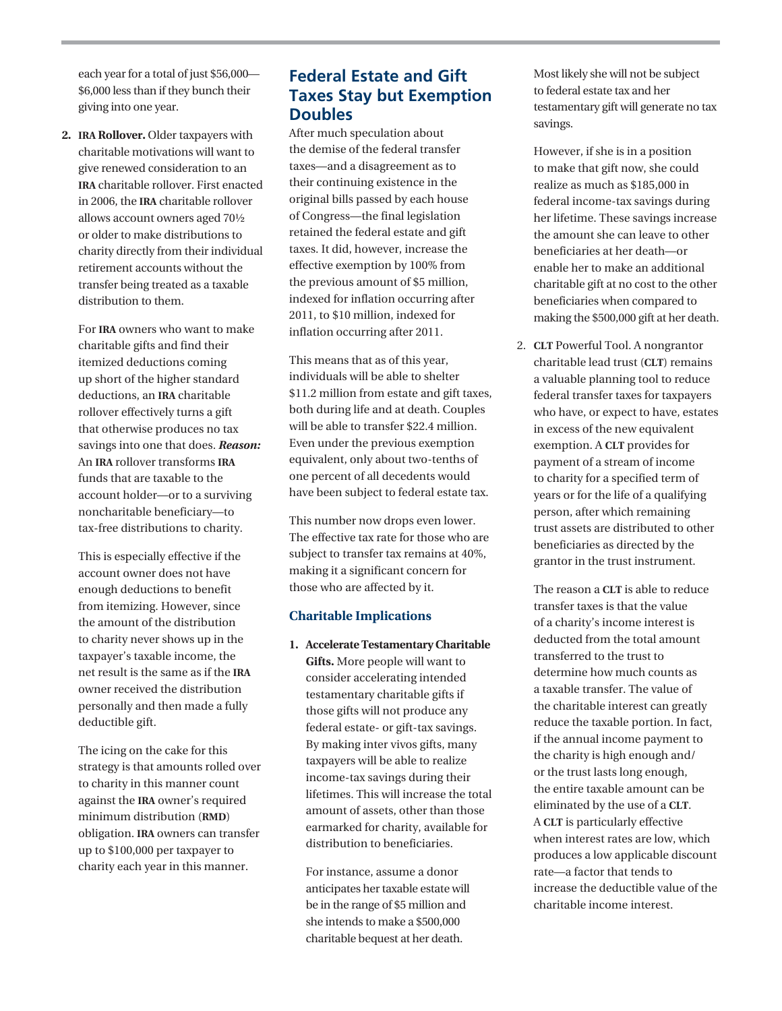each year for a total of just \$56,000— \$6,000 less than if they bunch their giving into one year.

**2. IRA Rollover.** Older taxpayers with charitable motivations will want to give renewed consideration to an **IRA** charitable rollover. First enacted in 2006, the **IRA** charitable rollover allows account owners aged 70½ or older to make distributions to charity directly from their individual retirement accounts without the transfer being treated as a taxable distribution to them.

 For **IRA** owners who want to make charitable gifts and find their itemized deductions coming up short of the higher standard deductions, an **IRA** charitable rollover effectively turns a gift that otherwise produces no tax savings into one that does. *Reason:* An **IRA** rollover transforms **IRA** funds that are taxable to the account holder—or to a surviving noncharitable beneficiary—to tax-free distributions to charity.

 This is especially effective if the account owner does not have enough deductions to benefit from itemizing. However, since the amount of the distribution to charity never shows up in the taxpayer's taxable income, the net result is the same as if the **IRA** owner received the distribution personally and then made a fully deductible gift.

 The icing on the cake for this strategy is that amounts rolled over to charity in this manner count against the **IRA** owner's required minimum distribution (**RMD**) obligation. **IRA** owners can transfer up to \$100,000 per taxpayer to charity each year in this manner.

## **Federal Estate and Gift Taxes Stay but Exemption Doubles**

After much speculation about the demise of the federal transfer taxes—and a disagreement as to their continuing existence in the original bills passed by each house of Congress—the final legislation retained the federal estate and gift taxes. It did, however, increase the effective exemption by 100% from the previous amount of \$5 million, indexed for inflation occurring after 2011, to \$10 million, indexed for inflation occurring after 2011.

This means that as of this year, individuals will be able to shelter \$11.2 million from estate and gift taxes, both during life and at death. Couples will be able to transfer \$22.4 million. Even under the previous exemption equivalent, only about two-tenths of one percent of all decedents would have been subject to federal estate tax.

This number now drops even lower. The effective tax rate for those who are subject to transfer tax remains at 40%, making it a significant concern for those who are affected by it.

#### **Charitable Implications**

**1. Accelerate Testamentary Charitable Gifts.** More people will want to consider accelerating intended testamentary charitable gifts if those gifts will not produce any federal estate- or gift-tax savings. By making inter vivos gifts, many taxpayers will be able to realize income-tax savings during their lifetimes. This will increase the total amount of assets, other than those earmarked for charity, available for distribution to beneficiaries.

 For instance, assume a donor anticipates her taxable estate will be in the range of \$5 million and she intends to make a \$500,000 charitable bequest at her death.

Most likely she will not be subject to federal estate tax and her testamentary gift will generate no tax savings.

 However, if she is in a position to make that gift now, she could realize as much as \$185,000 in federal income-tax savings during her lifetime. These savings increase the amount she can leave to other beneficiaries at her death—or enable her to make an additional charitable gift at no cost to the other beneficiaries when compared to making the \$500,000 gift at her death.

2. **CLT** Powerful Tool. A nongrantor charitable lead trust (**CLT**) remains a valuable planning tool to reduce federal transfer taxes for taxpayers who have, or expect to have, estates in excess of the new equivalent exemption. A **CLT** provides for payment of a stream of income to charity for a specified term of years or for the life of a qualifying person, after which remaining trust assets are distributed to other beneficiaries as directed by the grantor in the trust instrument.

 The reason a **CLT** is able to reduce transfer taxes is that the value of a charity's income interest is deducted from the total amount transferred to the trust to determine how much counts as a taxable transfer. The value of the charitable interest can greatly reduce the taxable portion. In fact, if the annual income payment to the charity is high enough and/ or the trust lasts long enough, the entire taxable amount can be eliminated by the use of a **CLT**. A **CLT** is particularly effective when interest rates are low, which produces a low applicable discount rate—a factor that tends to increase the deductible value of the charitable income interest.